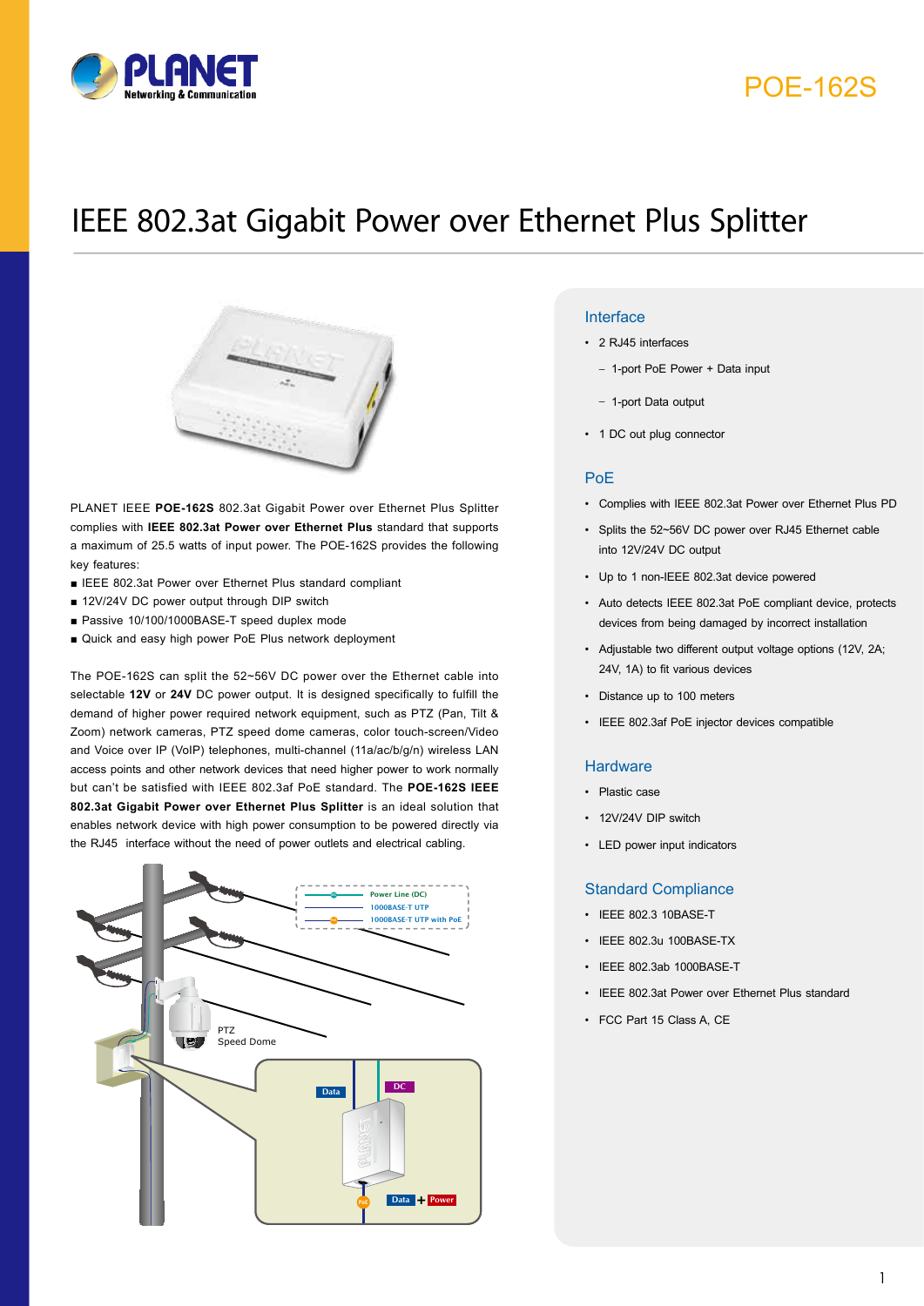

## POE-162S

# IEEE 802.3at Gigabit Power over Ethernet Plus Splitter



PLANET IEEE **POE-162S** 802.3at Gigabit Power over Ethernet Plus Splitter complies with **IEEE 802.3at Power over Ethernet Plus** standard that supports a maximum of 25.5 watts of input power. The POE-162S provides the following key features:

- IEEE 802.3at Power over Ethernet Plus standard compliant
- 12V/24V DC power output through DIP switch
- Passive 10/100/1000BASE-T speed duplex mode
- Quick and easy high power PoE Plus network deployment

The POE-162S can split the 52~56V DC power over the Ethernet cable into selectable **12V** or **24V** DC power output. It is designed specifically to fulfill the demand of higher power required network equipment, such as PTZ (Pan, Tilt & Zoom) network cameras, PTZ speed dome cameras, color touch-screen/Video and Voice over IP (VoIP) telephones, multi-channel (11a/ac/b/g/n) wireless LAN access points and other network devices that need higher power to work normally but can't be satisfied with IEEE 802.3af PoE standard. The **POE-162S IEEE 802.3at Gigabit Power over Ethernet Plus Splitter** is an ideal solution that enables network device with high power consumption to be powered directly via the RJ45 interface without the need of power outlets and electrical cabling.



### **Key Features Interface**

- 2 RJ45 interfaces
	- 1-port PoE Power + Data input
	- 1-port Data output
- 1 DC out plug connector

#### PoE

- • Complies with IEEE 802.3at Power over Ethernet Plus PD
- • Splits the 52~56V DC power over RJ45 Ethernet cable into 12V/24V DC output
- • Up to 1 non-IEEE 802.3at device powered
- • Auto detects IEEE 802.3at PoE compliant device, protects devices from being damaged by incorrect installation
- • Adjustable two different output voltage options (12V, 2A; 24V, 1A) to fit various devices
- Distance up to 100 meters
- • IEEE 802.3af PoE injector devices compatible

#### **Hardware**

- • Plastic case
- 12V/24V DIP switch
- • LED power input indicators

### Standard Compliance

- • IEEE 802.3 10BASE-T
- • IEEE 802.3u 100BASE-TX
- **IEEE 802.3ab 1000BASE-T**
- IEEE 802.3at Power over Ethernet Plus standard
- • FCC Part 15 Class A, CE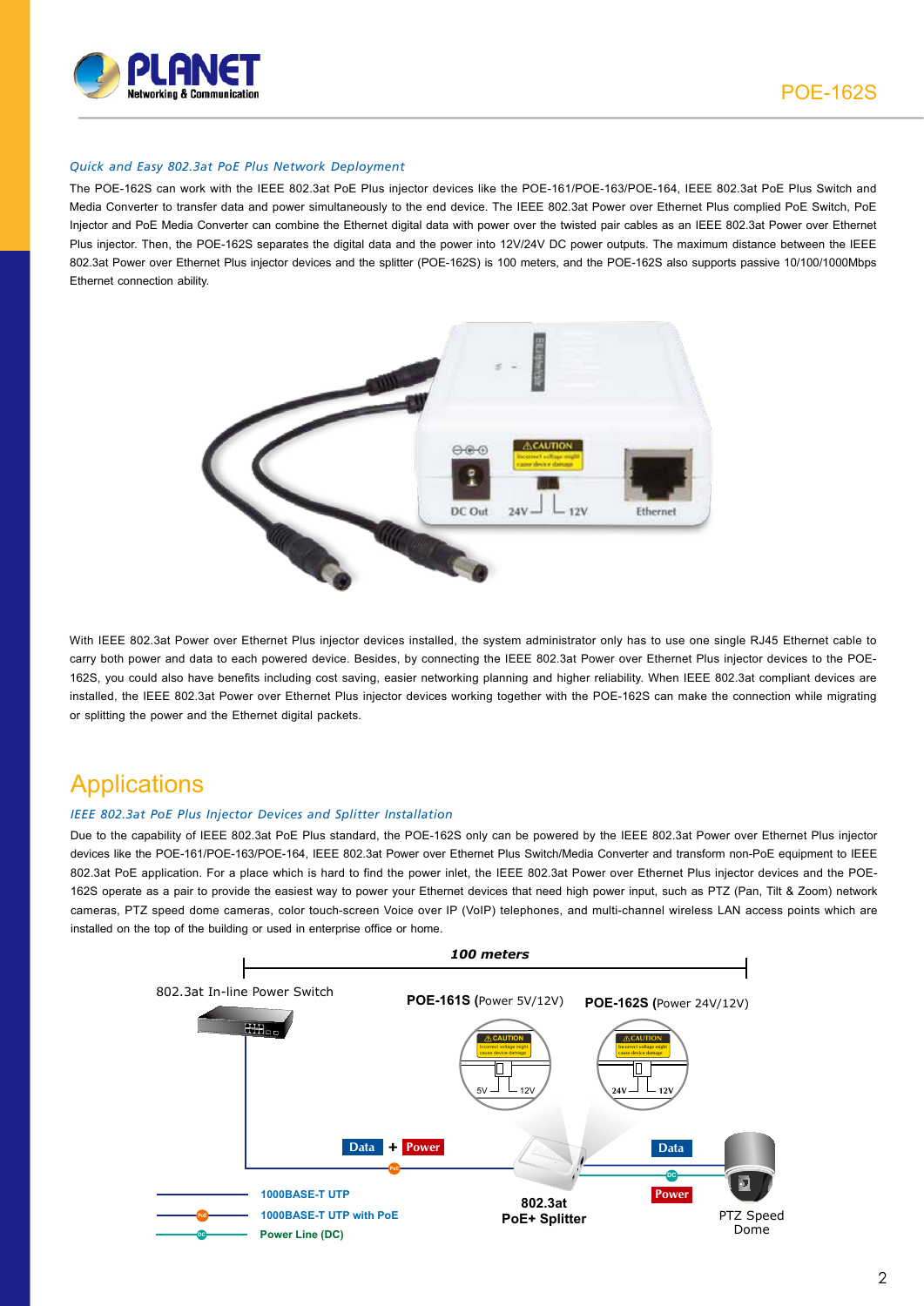

### *Quick and Easy 802.3at PoE Plus Network Deployment*

The POE-162S can work with the IEEE 802.3at PoE Plus injector devices like the POE-161/POE-163/POE-164, IEEE 802.3at PoE Plus Switch and Media Converter to transfer data and power simultaneously to the end device. The IEEE 802.3at Power over Ethernet Plus complied PoE Switch, PoE Injector and PoE Media Converter can combine the Ethernet digital data with power over the twisted pair cables as an IEEE 802.3at Power over Ethernet Plus injector. Then, the POE-162S separates the digital data and the power into 12V/24V DC power outputs. The maximum distance between the IEEE 802.3at Power over Ethernet Plus injector devices and the splitter (POE-162S) is 100 meters, and the POE-162S also supports passive 10/100/1000Mbps Ethernet connection ability.



With IEEE 802.3at Power over Ethernet Plus injector devices installed, the system administrator only has to use one single RJ45 Ethernet cable to carry both power and data to each powered device. Besides, by connecting the IEEE 802.3at Power over Ethernet Plus injector devices to the POE-162S, you could also have benefits including cost saving, easier networking planning and higher reliability. When IEEE 802.3at compliant devices are installed, the IEEE 802.3at Power over Ethernet Plus injector devices working together with the POE-162S can make the connection while migrating or splitting the power and the Ethernet digital packets.

## **Applications**

### *IEEE 802.3at PoE Plus Injector Devices and Splitter Installation*

Due to the capability of IEEE 802.3at PoE Plus standard, the POE-162S only can be powered by the IEEE 802.3at Power over Ethernet Plus injector devices like the POE-161/POE-163/POE-164, IEEE 802.3at Power over Ethernet Plus Switch/Media Converter and transform non-PoE equipment to IEEE 802.3at PoE application. For a place which is hard to find the power inlet, the IEEE 802.3at Power over Ethernet Plus injector devices and the POE-162S operate as a pair to provide the easiest way to power your Ethernet devices that need high power input, such as PTZ (Pan, Tilt & Zoom) network cameras, PTZ speed dome cameras, color touch-screen Voice over IP (VoIP) telephones, and multi-channel wireless LAN access points which are installed on the top of the building or used in enterprise office or home.

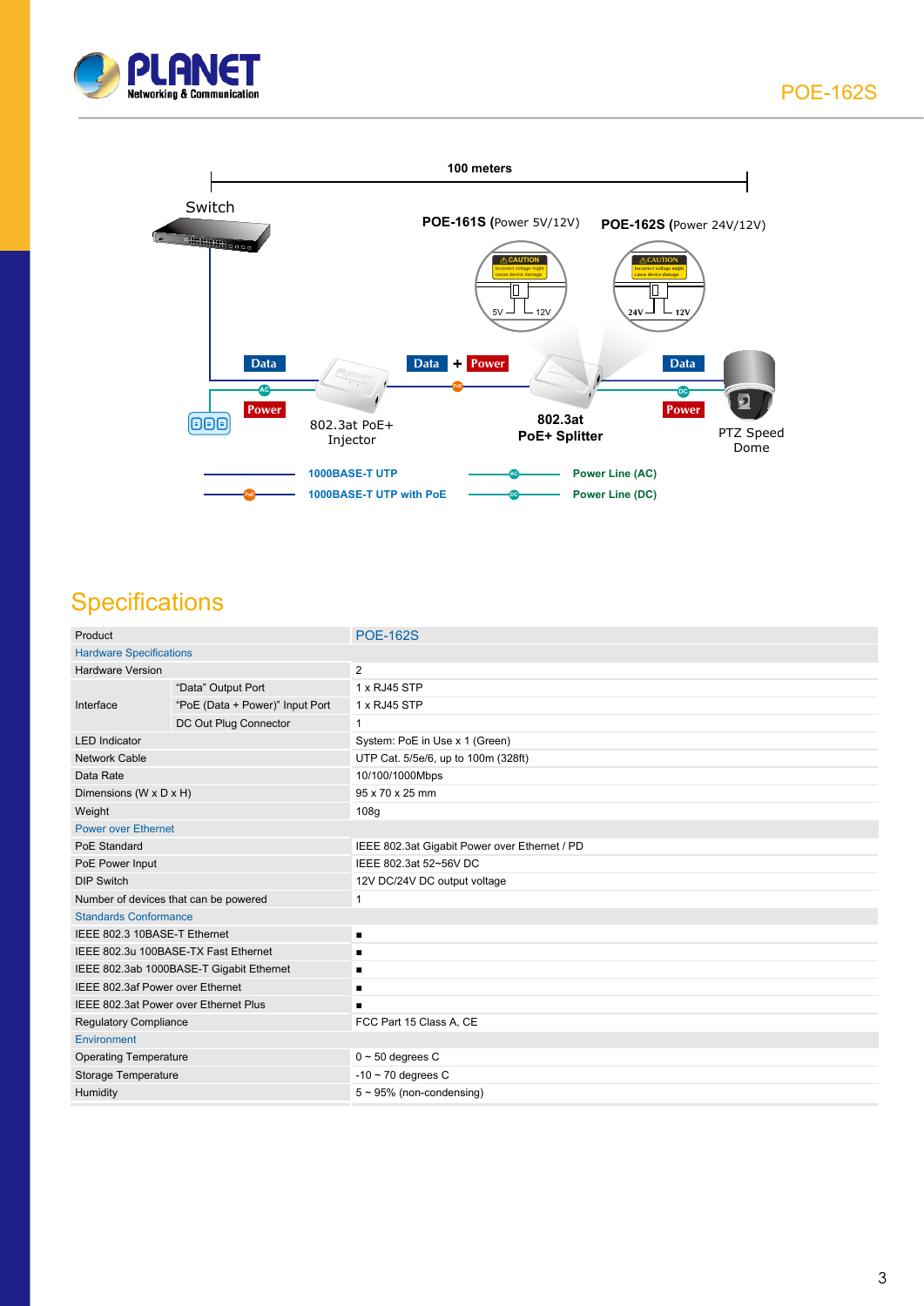



## **Specifications**

| Product                                  |                                 | <b>POE-162S</b>                               |  |
|------------------------------------------|---------------------------------|-----------------------------------------------|--|
| <b>Hardware Specifications</b>           |                                 |                                               |  |
| <b>Hardware Version</b>                  |                                 | 2                                             |  |
| Interface                                | "Data" Output Port              | 1 x RJ45 STP                                  |  |
|                                          | "PoE (Data + Power)" Input Port | 1 x RJ45 STP                                  |  |
|                                          | DC Out Plug Connector           | 1                                             |  |
| <b>LED</b> Indicator                     |                                 | System: PoE in Use x 1 (Green)                |  |
| <b>Network Cable</b>                     |                                 | UTP Cat. 5/5e/6, up to 100m (328ft)           |  |
| Data Rate                                |                                 | 10/100/1000Mbps                               |  |
| Dimensions (W x D x H)                   |                                 | 95 x 70 x 25 mm                               |  |
| Weight                                   |                                 | 108g                                          |  |
| <b>Power over Ethernet</b>               |                                 |                                               |  |
| PoE Standard                             |                                 | IEEE 802.3at Gigabit Power over Ethernet / PD |  |
| PoE Power Input                          |                                 | IEEE 802.3at 52~56V DC                        |  |
| <b>DIP Switch</b>                        |                                 | 12V DC/24V DC output voltage                  |  |
| Number of devices that can be powered    |                                 | $\mathbf 1$                                   |  |
| <b>Standards Conformance</b>             |                                 |                                               |  |
| IEEE 802.3 10BASE-T Ethernet             |                                 |                                               |  |
| IEEE 802.3u 100BASE-TX Fast Ethernet     |                                 | п                                             |  |
| IEEE 802.3ab 1000BASE-T Gigabit Ethernet |                                 | п                                             |  |
| IEEE 802.3af Power over Ethernet         |                                 |                                               |  |
| IEEE 802.3at Power over Ethernet Plus    |                                 |                                               |  |
| <b>Regulatory Compliance</b>             |                                 | FCC Part 15 Class A, CE                       |  |
| Environment                              |                                 |                                               |  |
| <b>Operating Temperature</b>             |                                 | $0 \sim 50$ degrees C                         |  |
| Storage Temperature                      |                                 | $-10 \sim 70$ degrees C                       |  |
| Humidity                                 |                                 | $5 \sim 95\%$ (non-condensing)                |  |
|                                          |                                 |                                               |  |